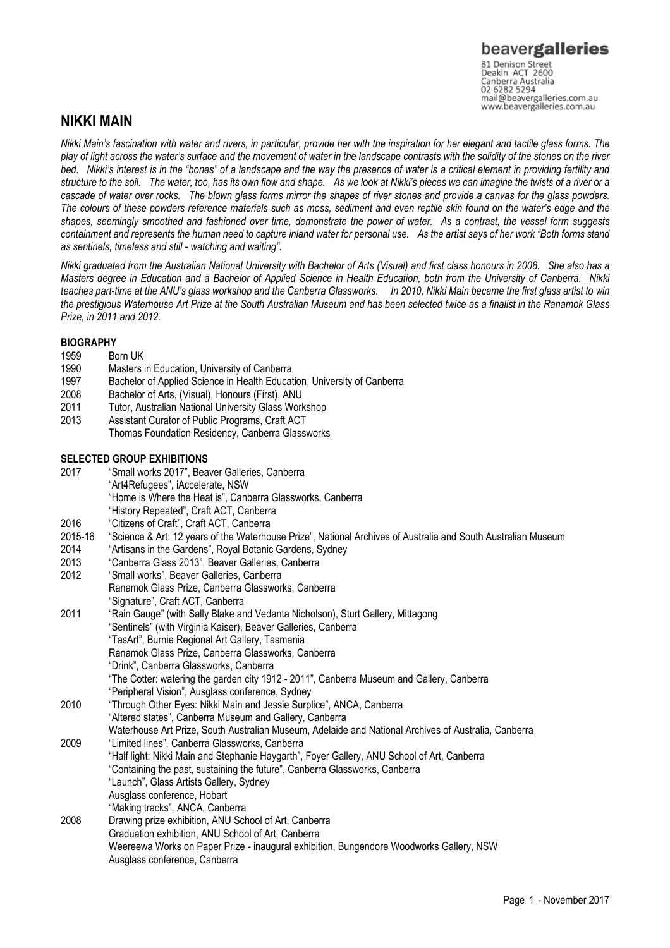# beavergalleries 81 Denison Street<br>Deakin ACT 2600

Canberra Australia 02 6282 5294 mail@beavergalleries.com.au www.beavergalleries.com.au

## NIKKI MAIN

Nikki Main's fascination with water and rivers, in particular, provide her with the inspiration for her elegant and tactile glass forms. The play of light across the water's surface and the movement of water in the landscape contrasts with the solidity of the stones on the river bed. Nikki's interest is in the "bones" of a landscape and the way the presence of water is a critical element in providing fertility and structure to the soil. The water, too, has its own flow and shape. As we look at Nikki's pieces we can imagine the twists of a river or a cascade of water over rocks. The blown glass forms mirror the shapes of river stones and provide a canvas for the glass powders. The colours of these powders reference materials such as moss, sediment and even reptile skin found on the water's edge and the shapes, seemingly smoothed and fashioned over time, demonstrate the power of water. As a contrast, the vessel form suggests containment and represents the human need to capture inland water for personal use. As the artist says of her work "Both forms stand as sentinels, timeless and still - watching and waiting".

Nikki graduated from the Australian National University with Bachelor of Arts (Visual) and first class honours in 2008. She also has a Masters degree in Education and a Bachelor of Applied Science in Health Education, both from the University of Canberra. Nikki teaches part-time at the ANU's glass workshop and the Canberra Glassworks. In 2010, Nikki Main became the first glass artist to win the prestigious Waterhouse Art Prize at the South Australian Museum and has been selected twice as a finalist in the Ranamok Glass Prize, in 2011 and 2012.

### **BIOGRAPHY**

- 1959 Born UK<br>1990 Masters
- Masters in Education, University of Canberra
- 1997 Bachelor of Applied Science in Health Education, University of Canberra
- 2008 Bachelor of Arts, (Visual), Honours (First), ANU
- 2011 Tutor, Australian National University Glass Workshop
- 2013 Assistant Curator of Public Programs, Craft ACT Thomas Foundation Residency, Canberra Glassworks

### SELECTED GROUP EXHIBITIONS

2017 "Small works 2017", Beaver Galleries, Canberra "Art4Refugees", iAccelerate, NSW "Home is Where the Heat is", Canberra Glassworks, Canberra "History Repeated", Craft ACT, Canberra 2016 "Citizens of Craft", Craft ACT, Canberra 2015-16 "Science & Art: 12 years of the Waterhouse Prize", National Archives of Australia and South Australian Museum 2014 "Artisans in the Gardens", Royal Botanic Gardens, Sydney 2013 "Canberra Glass 2013", Beaver Galleries, Canberra 2012 "Small works", Beaver Galleries, Canberra Ranamok Glass Prize, Canberra Glassworks, Canberra Signature", Craft ACT, Canberra"<br>2011 "Rain Gauge" (with Sally Blake ar "Rain Gauge" (with Sally Blake and Vedanta Nicholson), Sturt Gallery, Mittagong "Sentinels" (with Virginia Kaiser), Beaver Galleries, Canberra "TasArt", Burnie Regional Art Gallery, Tasmania Ranamok Glass Prize, Canberra Glassworks, Canberra "Drink", Canberra Glassworks, Canberra "The Cotter: watering the garden city 1912 - 2011", Canberra Museum and Gallery, Canberra "Peripheral Vision", Ausglass conference, Sydney 2010 "Through Other Eyes: Nikki Main and Jessie Surplice", ANCA, Canberra "Altered states", Canberra Museum and Gallery, Canberra Waterhouse Art Prize, South Australian Museum, Adelaide and National Archives of Australia, Canberra 2009 "Limited lines", Canberra Glassworks, Canberra "Half light: Nikki Main and Stephanie Haygarth", Foyer Gallery, ANU School of Art, Canberra "Containing the past, sustaining the future", Canberra Glassworks, Canberra "Launch", Glass Artists Gallery, Sydney Ausglass conference, Hobart "Making tracks", ANCA, Canberra 2008 Drawing prize exhibition, ANU School of Art, Canberra Graduation exhibition, ANU School of Art, Canberra Weereewa Works on Paper Prize - inaugural exhibition, Bungendore Woodworks Gallery, NSW Ausglass conference, Canberra